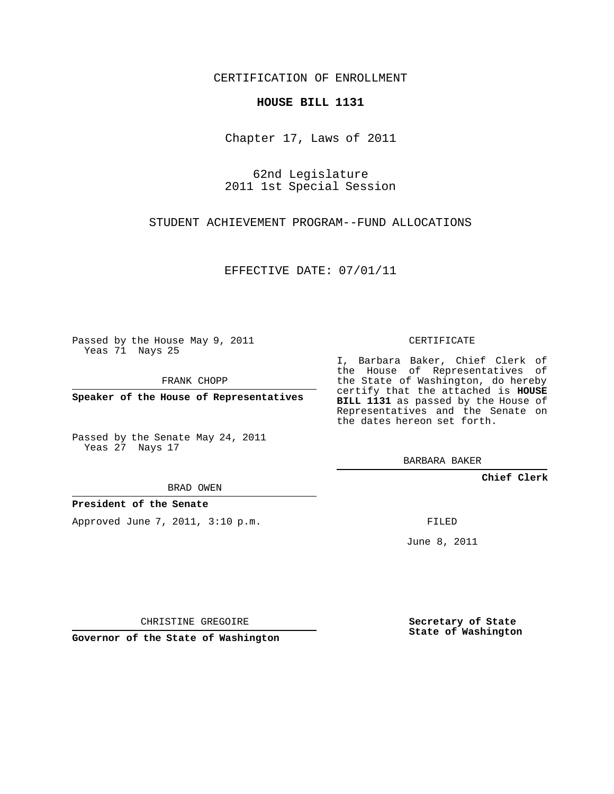CERTIFICATION OF ENROLLMENT

## **HOUSE BILL 1131**

Chapter 17, Laws of 2011

62nd Legislature 2011 1st Special Session

STUDENT ACHIEVEMENT PROGRAM--FUND ALLOCATIONS

EFFECTIVE DATE: 07/01/11

Passed by the House May 9, 2011 Yeas 71 Nays 25

FRANK CHOPP

**Speaker of the House of Representatives**

Passed by the Senate May 24, 2011 Yeas 27 Nays 17

BRAD OWEN

## **President of the Senate**

Approved June 7, 2011, 3:10 p.m.

CERTIFICATE

I, Barbara Baker, Chief Clerk of the House of Representatives of the State of Washington, do hereby certify that the attached is **HOUSE BILL 1131** as passed by the House of Representatives and the Senate on the dates hereon set forth.

BARBARA BAKER

**Chief Clerk**

FILED

June 8, 2011

CHRISTINE GREGOIRE

**Governor of the State of Washington**

**Secretary of State State of Washington**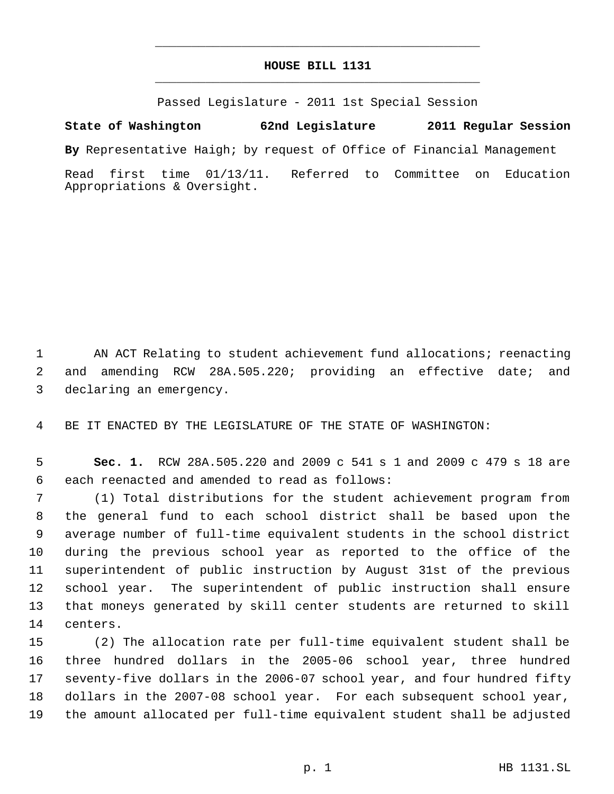## **HOUSE BILL 1131** \_\_\_\_\_\_\_\_\_\_\_\_\_\_\_\_\_\_\_\_\_\_\_\_\_\_\_\_\_\_\_\_\_\_\_\_\_\_\_\_\_\_\_\_\_

\_\_\_\_\_\_\_\_\_\_\_\_\_\_\_\_\_\_\_\_\_\_\_\_\_\_\_\_\_\_\_\_\_\_\_\_\_\_\_\_\_\_\_\_\_

Passed Legislature - 2011 1st Special Session

**State of Washington 62nd Legislature 2011 Regular Session**

**By** Representative Haigh; by request of Office of Financial Management

Read first time 01/13/11. Referred to Committee on Education Appropriations & Oversight.

 AN ACT Relating to student achievement fund allocations; reenacting and amending RCW 28A.505.220; providing an effective date; and declaring an emergency.

BE IT ENACTED BY THE LEGISLATURE OF THE STATE OF WASHINGTON:

 **Sec. 1.** RCW 28A.505.220 and 2009 c 541 s 1 and 2009 c 479 s 18 are each reenacted and amended to read as follows:

 (1) Total distributions for the student achievement program from the general fund to each school district shall be based upon the average number of full-time equivalent students in the school district during the previous school year as reported to the office of the superintendent of public instruction by August 31st of the previous school year. The superintendent of public instruction shall ensure that moneys generated by skill center students are returned to skill centers.

 (2) The allocation rate per full-time equivalent student shall be three hundred dollars in the 2005-06 school year, three hundred seventy-five dollars in the 2006-07 school year, and four hundred fifty dollars in the 2007-08 school year. For each subsequent school year, the amount allocated per full-time equivalent student shall be adjusted